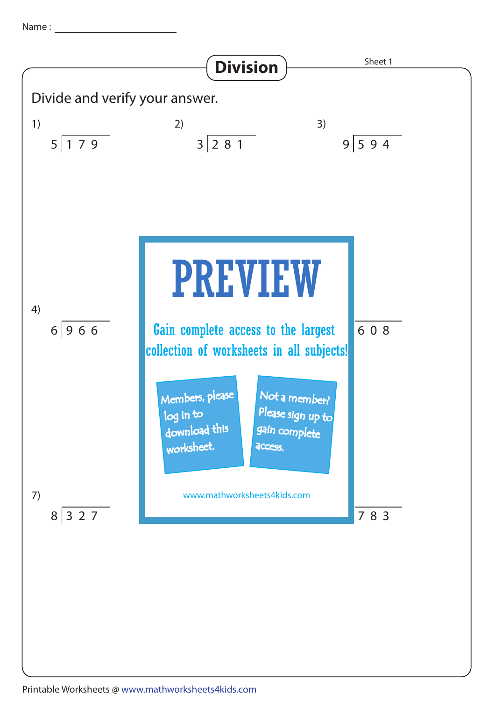